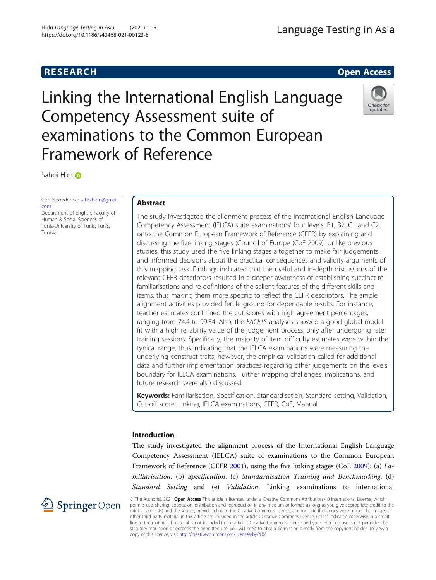# **RESEARCH RESEARCH** *CHECKER CHECKER CHECKER CHECKER CHECKER CHECKER CHECKER CHECKER CHECKER CHECKER CHECKER*

# Linking the International English Language Competency Assessment suite of examinations to the Common European Framework of Reference



Sahb[i](http://orcid.org/0000-0003-4057-2591) Hidri<sub>D</sub>

Tunisia

Correspondence: [sahbihidri@gmail.](mailto:sahbihidri@gmail.com) [com](mailto:sahbihidri@gmail.com) Department of English, Faculty of Human & Social Sciences of Tunis-University of Tunis, Tunis,

# Abstract

The study investigated the alignment process of the International English Language Competency Assessment (IELCA) suite examinations' four levels, B1, B2, C1 and C2, onto the Common European Framework of Reference (CEFR) by explaining and discussing the five linking stages (Council of Europe (CoE 2009). Unlike previous studies, this study used the five linking stages altogether to make fair judgements and informed decisions about the practical consequences and validity arguments of this mapping task. Findings indicated that the useful and in-depth discussions of the relevant CEFR descriptors resulted in a deeper awareness of establishing succinct refamiliarisations and re-definitions of the salient features of the different skills and items, thus making them more specific to reflect the CEFR descriptors. The ample alignment activities provided fertile ground for dependable results. For instance, teacher estimates confirmed the cut scores with high agreement percentages, ranging from 74.4 to 99.34. Also, the FACETS analyses showed a good global model fit with a high reliability value of the judgement process, only after undergoing rater training sessions. Specifically, the majority of item difficulty estimates were within the typical range, thus indicating that the IELCA examinations were measuring the underlying construct traits; however, the empirical validation called for additional data and further implementation practices regarding other judgements on the levels' boundary for IELCA examinations. Further mapping challenges, implications, and future research were also discussed.

Keywords: Familiarisation, Specification, Standardisation, Standard setting, Validation, Cut-off score, Linking, IELCA examinations, CEFR, CoE, Manual

# Introduction

The study investigated the alignment process of the International English Language Competency Assessment (IELCA) suite of examinations to the Common European Framework of Reference (CEFR [2001\)](#page-22-0), using the five linking stages (CoE [2009](#page-22-0)): (a) Familiarisation, (b) Specification, (c) Standardisation Training and Benchmarking, (d) Standard Setting and (e) Validation. Linking examinations to international



© The Author(s). 2021 Open Access This article is licensed under a Creative Commons Attribution 4.0 International License, which permits use, sharing, adaptation, distribution and reproduction in any medium or format, as long as you give appropriate credit to the original author(s) and the source, provide a link to the Creative Commons licence, and indicate if changes were made. The images or other third party material in this article are included in the article's Creative Commons licence, unless indicated otherwise in a credit line to the material. If material is not included in the article's Creative Commons licence and your intended use is not permitted by statutory regulation or exceeds the permitted use, you will need to obtain permission directly from the copyright holder. To view a copy of this licence, visit <http://creativecommons.org/licenses/by/4.0/>.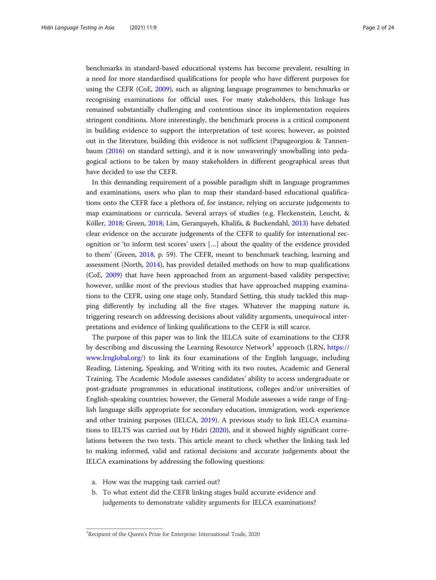benchmarks in standard-based educational systems has become prevalent, resulting in a need for more standardised qualifications for people who have different purposes for using the CEFR (CoE, [2009\)](#page-22-0), such as aligning language programmes to benchmarks or recognising examinations for official uses. For many stakeholders, this linkage has remained substantially challenging and contentious since its implementation requires stringent conditions. More interestingly, the benchmark process is a critical component in building evidence to support the interpretation of test scores; however, as pointed out in the literature, building this evidence is not sufficient (Papageorgiou & Tannenbaum ([2016](#page-23-0)) on standard setting), and it is now unwaveringly snowballing into pedagogical actions to be taken by many stakeholders in different geographical areas that have decided to use the CEFR.

In this demanding requirement of a possible paradigm shift in language programmes and examinations, users who plan to map their standard-based educational qualifications onto the CEFR face a plethora of, for instance, relying on accurate judgements to map examinations or curricula. Several arrays of studies (e.g. Fleckenstein, Leucht, & Köller, [2018](#page-22-0); Green, [2018;](#page-22-0) Lim, Geranpayeh, Khalifa, & Buckendahl, [2013](#page-22-0)) have debated clear evidence on the accurate judgements of the CEFR to qualify for international recognition or 'to inform test scores' users […] about the quality of the evidence provided to them' (Green, [2018](#page-22-0), p. 59). The CEFR, meant to benchmark teaching, learning and assessment (North, [2014\)](#page-23-0), has provided detailed methods on how to map qualifications (CoE, [2009\)](#page-22-0) that have been approached from an argument-based validity perspective; however, unlike most of the previous studies that have approached mapping examinations to the CEFR, using one stage only, Standard Setting, this study tackled this mapping differently by including all the five stages. Whatever the mapping nature is, triggering research on addressing decisions about validity arguments, unequivocal interpretations and evidence of linking qualifications to the CEFR is still scarce.

The purpose of this paper was to link the IELCA suite of examinations to the CEFR by describing and discussing the Learning Resource Network<sup>1</sup> approach (LRN, [https://](https://www.lrnglobal.org/) [www.lrnglobal.org/\)](https://www.lrnglobal.org/) to link its four examinations of the English language, including Reading, Listening, Speaking, and Writing with its two routes, Academic and General Training. The Academic Module assesses candidates' ability to access undergraduate or post-graduate programmes in educational institutions, colleges and/or universities of English-speaking countries; however, the General Module assesses a wide range of English language skills appropriate for secondary education, immigration, work experience and other training purposes (IELCA, [2019\)](#page-22-0). A previous study to link IELCA examinations to IELTS was carried out by Hidri ([2020](#page-22-0)), and it showed highly significant correlations between the two tests. This article meant to check whether the linking task led to making informed, valid and rational decisions and accurate judgements about the IELCA examinations by addressing the following questions:

- a. How was the mapping task carried out?
- b. To what extent did the CEFR linking stages build accurate evidence and judgements to demonstrate validity arguments for IELCA examinations?

<sup>&</sup>lt;sup>1</sup>Recipient of the Queen's Prize for Enterprise: International Trade, 2020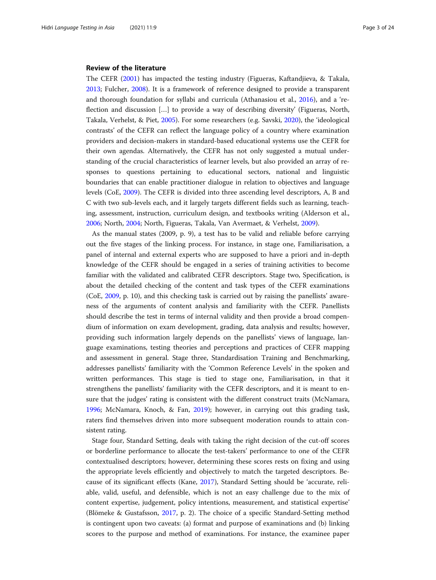#### Review of the literature

The CEFR ([2001\)](#page-22-0) has impacted the testing industry (Figueras, Kaftandjieva, & Takala, [2013](#page-22-0); Fulcher, [2008](#page-22-0)). It is a framework of reference designed to provide a transparent and thorough foundation for syllabi and curricula (Athanasiou et al., [2016](#page-22-0)), and a 'reflection and discussion […] to provide a way of describing diversity' (Figueras, North, Takala, Verhelst, & Piet, [2005\)](#page-22-0). For some researchers (e.g. Savski, [2020\)](#page-23-0), the 'ideological contrasts' of the CEFR can reflect the language policy of a country where examination providers and decision-makers in standard-based educational systems use the CEFR for their own agendas. Alternatively, the CEFR has not only suggested a mutual understanding of the crucial characteristics of learner levels, but also provided an array of responses to questions pertaining to educational sectors, national and linguistic boundaries that can enable practitioner dialogue in relation to objectives and language levels (CoE, [2009\)](#page-22-0). The CEFR is divided into three ascending level descriptors, A, B and C with two sub-levels each, and it largely targets different fields such as learning, teaching, assessment, instruction, curriculum design, and textbooks writing (Alderson et al., [2006](#page-22-0); North, [2004;](#page-23-0) North, Figueras, Takala, Van Avermaet, & Verhelst, [2009](#page-23-0)).

As the manual states (2009, p. 9), a test has to be valid and reliable before carrying out the five stages of the linking process. For instance, in stage one, Familiarisation, a panel of internal and external experts who are supposed to have a priori and in-depth knowledge of the CEFR should be engaged in a series of training activities to become familiar with the validated and calibrated CEFR descriptors. Stage two, Specification, is about the detailed checking of the content and task types of the CEFR examinations (CoE, [2009,](#page-22-0) p. 10), and this checking task is carried out by raising the panellists' awareness of the arguments of content analysis and familiarity with the CEFR. Panellists should describe the test in terms of internal validity and then provide a broad compendium of information on exam development, grading, data analysis and results; however, providing such information largely depends on the panellists' views of language, language examinations, testing theories and perceptions and practices of CEFR mapping and assessment in general. Stage three, Standardisation Training and Benchmarking, addresses panellists' familiarity with the 'Common Reference Levels' in the spoken and written performances. This stage is tied to stage one, Familiarisation, in that it strengthens the panellists' familiarity with the CEFR descriptors, and it is meant to ensure that the judges' rating is consistent with the different construct traits (McNamara, [1996](#page-23-0); McNamara, Knoch, & Fan, [2019](#page-23-0)); however, in carrying out this grading task, raters find themselves driven into more subsequent moderation rounds to attain consistent rating.

Stage four, Standard Setting, deals with taking the right decision of the cut-off scores or borderline performance to allocate the test-takers' performance to one of the CEFR contextualised descriptors; however, determining these scores rests on fixing and using the appropriate levels efficiently and objectively to match the targeted descriptors. Because of its significant effects (Kane, [2017](#page-22-0)), Standard Setting should be 'accurate, reliable, valid, useful, and defensible, which is not an easy challenge due to the mix of content expertise, judgement, policy intentions, measurement, and statistical expertise' (Blömeke & Gustafsson, [2017,](#page-22-0) p. 2). The choice of a specific Standard-Setting method is contingent upon two caveats: (a) format and purpose of examinations and (b) linking scores to the purpose and method of examinations. For instance, the examinee paper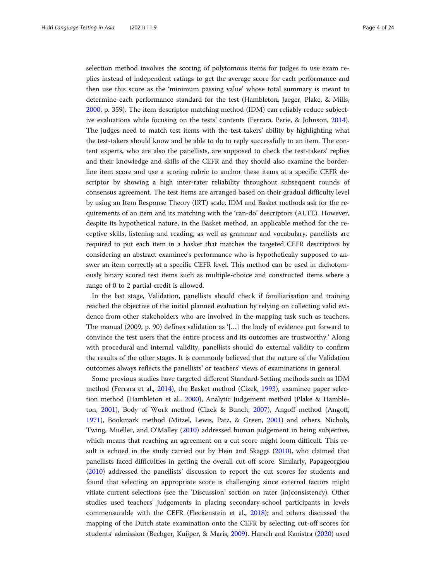selection method involves the scoring of polytomous items for judges to use exam replies instead of independent ratings to get the average score for each performance and then use this score as the 'minimum passing value' whose total summary is meant to determine each performance standard for the test (Hambleton, Jaeger, Plake, & Mills, [2000](#page-22-0), p. 359). The item descriptor matching method (IDM) can reliably reduce subjective evaluations while focusing on the tests' contents (Ferrara, Perie, & Johnson, [2014](#page-22-0)). The judges need to match test items with the test-takers' ability by highlighting what the test-takers should know and be able to do to reply successfully to an item. The content experts, who are also the panellists, are supposed to check the test-takers' replies and their knowledge and skills of the CEFR and they should also examine the borderline item score and use a scoring rubric to anchor these items at a specific CEFR descriptor by showing a high inter-rater reliability throughout subsequent rounds of consensus agreement. The test items are arranged based on their gradual difficulty level by using an Item Response Theory (IRT) scale. IDM and Basket methods ask for the requirements of an item and its matching with the 'can-do' descriptors (ALTE). However, despite its hypothetical nature, in the Basket method, an applicable method for the receptive skills, listening and reading, as well as grammar and vocabulary, panellists are required to put each item in a basket that matches the targeted CEFR descriptors by considering an abstract examinee's performance who is hypothetically supposed to answer an item correctly at a specific CEFR level. This method can be used in dichotomously binary scored test items such as multiple-choice and constructed items where a range of 0 to 2 partial credit is allowed.

In the last stage, Validation, panellists should check if familiarisation and training reached the objective of the initial planned evaluation by relying on collecting valid evidence from other stakeholders who are involved in the mapping task such as teachers. The manual (2009, p. 90) defines validation as '[…] the body of evidence put forward to convince the test users that the entire process and its outcomes are trustworthy.' Along with procedural and internal validity, panellists should do external validity to confirm the results of the other stages. It is commonly believed that the nature of the Validation outcomes always reflects the panellists' or teachers' views of examinations in general.

Some previous studies have targeted different Standard-Setting methods such as IDM method (Ferrara et al., [2014\)](#page-22-0), the Basket method (Cizek, [1993\)](#page-22-0), examinee paper selection method (Hambleton et al., [2000](#page-22-0)), Analytic Judgement method (Plake & Hambleton, [2001\)](#page-23-0), Body of Work method (Cizek & Bunch, [2007\)](#page-22-0), Angoff method (Angoff, [1971](#page-22-0)), Bookmark method (Mitzel, Lewis, Patz, & Green, [2001](#page-23-0)) and others. Nichols, Twing, Mueller, and O'Malley [\(2010\)](#page-23-0) addressed human judgement in being subjective, which means that reaching an agreement on a cut score might loom difficult. This result is echoed in the study carried out by Hein and Skaggs ([2010](#page-22-0)), who claimed that panellists faced difficulties in getting the overall cut-off score. Similarly, Papageorgiou ([2010](#page-23-0)) addressed the panellists' discussion to report the cut scores for students and found that selecting an appropriate score is challenging since external factors might vitiate current selections (see the 'Discussion' section on rater (in)consistency). Other studies used teachers' judgements in placing secondary-school participants in levels commensurable with the CEFR (Fleckenstein et al., [2018\)](#page-22-0); and others discussed the mapping of the Dutch state examination onto the CEFR by selecting cut-off scores for students' admission (Bechger, Kuijper, & Maris, [2009](#page-22-0)). Harsch and Kanistra [\(2020\)](#page-22-0) used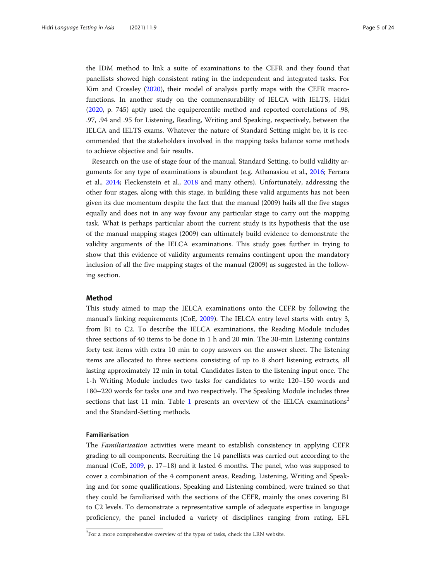the IDM method to link a suite of examinations to the CEFR and they found that panellists showed high consistent rating in the independent and integrated tasks. For Kim and Crossley ([2020](#page-22-0)), their model of analysis partly maps with the CEFR macrofunctions. In another study on the commensurability of IELCA with IELTS, Hidri ([2020](#page-22-0), p. 745) aptly used the equipercentile method and reported correlations of .98, .97, .94 and .95 for Listening, Reading, Writing and Speaking, respectively, between the IELCA and IELTS exams. Whatever the nature of Standard Setting might be, it is recommended that the stakeholders involved in the mapping tasks balance some methods to achieve objective and fair results.

Research on the use of stage four of the manual, Standard Setting, to build validity arguments for any type of examinations is abundant (e.g. Athanasiou et al., [2016;](#page-22-0) Ferrara et al., [2014;](#page-22-0) Fleckenstein et al., [2018](#page-22-0) and many others). Unfortunately, addressing the other four stages, along with this stage, in building these valid arguments has not been given its due momentum despite the fact that the manual (2009) hails all the five stages equally and does not in any way favour any particular stage to carry out the mapping task. What is perhaps particular about the current study is its hypothesis that the use of the manual mapping stages (2009) can ultimately build evidence to demonstrate the validity arguments of the IELCA examinations. This study goes further in trying to show that this evidence of validity arguments remains contingent upon the mandatory inclusion of all the five mapping stages of the manual (2009) as suggested in the following section.

#### Method

This study aimed to map the IELCA examinations onto the CEFR by following the manual's linking requirements (CoE, [2009](#page-22-0)). The IELCA entry level starts with entry 3, from B1 to C2. To describe the IELCA examinations, the Reading Module includes three sections of 40 items to be done in 1 h and 20 min. The 30-min Listening contains forty test items with extra 10 min to copy answers on the answer sheet. The listening items are allocated to three sections consisting of up to 8 short listening extracts, all lasting approximately 12 min in total. Candidates listen to the listening input once. The 1-h Writing Module includes two tasks for candidates to write 120–150 words and 180–220 words for tasks one and two respectively. The Speaking Module includes three sections that last [1](#page-5-0)1 min. Table 1 presents an overview of the IELCA examinations<sup>2</sup> and the Standard-Setting methods.

#### Familiarisation

The Familiarisation activities were meant to establish consistency in applying CEFR grading to all components. Recruiting the 14 panellists was carried out according to the manual (CoE, [2009](#page-22-0), p. 17–18) and it lasted 6 months. The panel, who was supposed to cover a combination of the 4 component areas, Reading, Listening, Writing and Speaking and for some qualifications, Speaking and Listening combined, were trained so that they could be familiarised with the sections of the CEFR, mainly the ones covering B1 to C2 levels. To demonstrate a representative sample of adequate expertise in language proficiency, the panel included a variety of disciplines ranging from rating, EFL

 $2$ For a more comprehensive overview of the types of tasks, check the LRN website.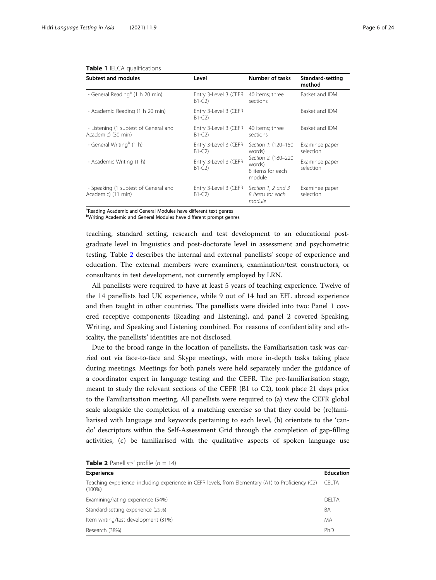| <b>Subtest and modules</b>                                  | Level                                               | Number of tasks                                              | Standard-setting<br>method  |
|-------------------------------------------------------------|-----------------------------------------------------|--------------------------------------------------------------|-----------------------------|
| - General Reading <sup>a</sup> (1 h 20 min)                 | Entry 3-Level 3 (CEFR<br>$B1-C2$                    | 40 items; three<br>sections                                  | Basket and IDM              |
| - Academic Reading (1 h 20 min)                             | Entry 3-Level 3 (CEFR<br>$B1-C2$                    |                                                              | Basket and IDM              |
| - Listening (1 subtest of General and<br>Academic) (30 min) | Entry 3-Level 3 (CEFR<br>$B1-C2$                    | 40 items; three<br>sections                                  | Basket and IDM              |
| - General Writing <sup>b</sup> (1 h)                        | Entry 3-Level 3 (CEFR<br>$B1-C2$                    | Section 1: (120-150<br>words)                                | Examinee paper<br>selection |
| - Academic Writing (1 h)                                    | Entry 3-Level 3 (CEFR<br>$B1-C2$                    | Section 2: (180-220)<br>words)<br>8 items for each<br>module | Examinee paper<br>selection |
| - Speaking (1 subtest of General and<br>Academic) (11 min)  | Entry 3-Level 3 (CEFR Section 1, 2 and 3<br>$B1-C2$ | 8 items for each<br>module                                   | Examinee paper<br>selection |

#### <span id="page-5-0"></span>Table 1 IELCA qualifications

<sup>a</sup>Reading Academic and General Modules have different text genres

b Writing Academic and General Modules have different prompt genres

teaching, standard setting, research and test development to an educational postgraduate level in linguistics and post-doctorate level in assessment and psychometric testing. Table 2 describes the internal and external panellists' scope of experience and education. The external members were examiners, examination/test constructors, or consultants in test development, not currently employed by LRN.

All panellists were required to have at least 5 years of teaching experience. Twelve of the 14 panellists had UK experience, while 9 out of 14 had an EFL abroad experience and then taught in other countries. The panellists were divided into two: Panel 1 covered receptive components (Reading and Listening), and panel 2 covered Speaking, Writing, and Speaking and Listening combined. For reasons of confidentiality and ethicality, the panellists' identities are not disclosed.

Due to the broad range in the location of panellists, the Familiarisation task was carried out via face-to-face and Skype meetings, with more in-depth tasks taking place during meetings. Meetings for both panels were held separately under the guidance of a coordinator expert in language testing and the CEFR. The pre-familiarisation stage, meant to study the relevant sections of the CEFR (B1 to C2), took place 21 days prior to the Familiarisation meeting. All panellists were required to (a) view the CEFR global scale alongside the completion of a matching exercise so that they could be (re)familiarised with language and keywords pertaining to each level, (b) orientate to the 'cando' descriptors within the Self-Assessment Grid through the completion of gap-filling activities, (c) be familiarised with the qualitative aspects of spoken language use

| <b>Table 4</b> Taricilists profile $(1 - 17)$                                                                |              |
|--------------------------------------------------------------------------------------------------------------|--------------|
| <b>Experience</b>                                                                                            | Education    |
| Teaching experience, including experience in CEFR levels, from Elementary (A1) to Proficiency (C2)<br>(100%) | CFI TA       |
| Examining/rating experience (54%)                                                                            | <b>DFITA</b> |
| Standard-setting experience (29%)                                                                            | BA           |
| Item writing/test development (31%)                                                                          | MA           |
| Research (38%)                                                                                               | PhD          |

| <b>Table 2</b> Panellists' profile ( $n = 14$ ) |  |
|-------------------------------------------------|--|
|-------------------------------------------------|--|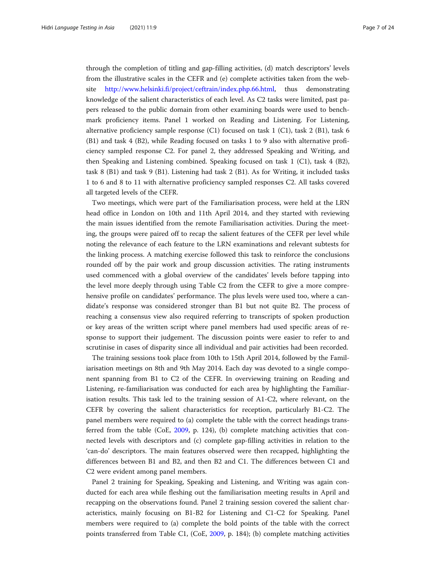through the completion of titling and gap-filling activities, (d) match descriptors' levels from the illustrative scales in the CEFR and (e) complete activities taken from the website <http://www.helsinki.fi/project/ceftrain/index.php.66.html>, thus demonstrating knowledge of the salient characteristics of each level. As C2 tasks were limited, past papers released to the public domain from other examining boards were used to benchmark proficiency items. Panel 1 worked on Reading and Listening. For Listening, alternative proficiency sample response  $(C1)$  focused on task 1  $(C1)$ , task 2  $(B1)$ , task 6 (B1) and task 4 (B2), while Reading focused on tasks 1 to 9 also with alternative proficiency sampled response C2. For panel 2, they addressed Speaking and Writing, and then Speaking and Listening combined. Speaking focused on task 1 (C1), task 4 (B2), task 8 (B1) and task 9 (B1). Listening had task 2 (B1). As for Writing, it included tasks 1 to 6 and 8 to 11 with alternative proficiency sampled responses C2. All tasks covered all targeted levels of the CEFR.

Two meetings, which were part of the Familiarisation process, were held at the LRN head office in London on 10th and 11th April 2014, and they started with reviewing the main issues identified from the remote Familiarisation activities. During the meeting, the groups were paired off to recap the salient features of the CEFR per level while noting the relevance of each feature to the LRN examinations and relevant subtests for the linking process. A matching exercise followed this task to reinforce the conclusions rounded off by the pair work and group discussion activities. The rating instruments used commenced with a global overview of the candidates' levels before tapping into the level more deeply through using Table C2 from the CEFR to give a more comprehensive profile on candidates' performance. The plus levels were used too, where a candidate's response was considered stronger than B1 but not quite B2. The process of reaching a consensus view also required referring to transcripts of spoken production or key areas of the written script where panel members had used specific areas of response to support their judgement. The discussion points were easier to refer to and scrutinise in cases of disparity since all individual and pair activities had been recorded.

The training sessions took place from 10th to 15th April 2014, followed by the Familiarisation meetings on 8th and 9th May 2014. Each day was devoted to a single component spanning from B1 to C2 of the CEFR. In overviewing training on Reading and Listening, re-familiarisation was conducted for each area by highlighting the Familiarisation results. This task led to the training session of A1-C2, where relevant, on the CEFR by covering the salient characteristics for reception, particularly B1-C2. The panel members were required to (a) complete the table with the correct headings transferred from the table (CoE, [2009](#page-22-0), p. 124), (b) complete matching activities that connected levels with descriptors and (c) complete gap-filling activities in relation to the 'can-do' descriptors. The main features observed were then recapped, highlighting the differences between B1 and B2, and then B2 and C1. The differences between C1 and C2 were evident among panel members.

Panel 2 training for Speaking, Speaking and Listening, and Writing was again conducted for each area while fleshing out the familiarisation meeting results in April and recapping on the observations found. Panel 2 training session covered the salient characteristics, mainly focusing on B1-B2 for Listening and C1-C2 for Speaking. Panel members were required to (a) complete the bold points of the table with the correct points transferred from Table C1, (CoE, [2009,](#page-22-0) p. 184); (b) complete matching activities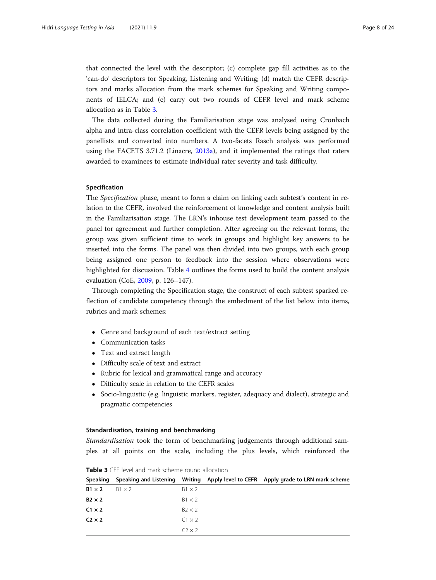that connected the level with the descriptor; (c) complete gap fill activities as to the 'can-do' descriptors for Speaking, Listening and Writing; (d) match the CEFR descriptors and marks allocation from the mark schemes for Speaking and Writing components of IELCA; and (e) carry out two rounds of CEFR level and mark scheme allocation as in Table 3.

The data collected during the Familiarisation stage was analysed using Cronbach alpha and intra-class correlation coefficient with the CEFR levels being assigned by the panellists and converted into numbers. A two-facets Rasch analysis was performed using the FACETS 3.71.2 (Linacre, [2013a](#page-22-0)), and it implemented the ratings that raters awarded to examinees to estimate individual rater severity and task difficulty.

#### Specification

The Specification phase, meant to form a claim on linking each subtest's content in relation to the CEFR, involved the reinforcement of knowledge and content analysis built in the Familiarisation stage. The LRN's inhouse test development team passed to the panel for agreement and further completion. After agreeing on the relevant forms, the group was given sufficient time to work in groups and highlight key answers to be inserted into the forms. The panel was then divided into two groups, with each group being assigned one person to feedback into the session where observations were highlighted for discussion. Table [4](#page-8-0) outlines the forms used to build the content analysis evaluation (CoE, [2009,](#page-22-0) p. 126–147).

Through completing the Specification stage, the construct of each subtest sparked reflection of candidate competency through the embedment of the list below into items, rubrics and mark schemes:

- Genre and background of each text/extract setting
- Communication tasks
- Text and extract length
- Difficulty scale of text and extract
- Rubric for lexical and grammatical range and accuracy
- Difficulty scale in relation to the CEFR scales
- Socio-linguistic (e.g. linguistic markers, register, adequacy and dialect), strategic and pragmatic competencies

#### Standardisation, training and benchmarking

Standardisation took the form of benchmarking judgements through additional samples at all points on the scale, including the plus levels, which reinforced the

| Speaking      |               |               | Speaking and Listening Writing Apply level to CEFR Apply grade to LRN mark scheme |
|---------------|---------------|---------------|-----------------------------------------------------------------------------------|
| $B1 \times 2$ | $B1 \times 2$ | $B1 \times 2$ |                                                                                   |
| $B2 \times 2$ |               | $B1 \times 2$ |                                                                                   |
| $C1 \times 2$ |               | $B2 \times 2$ |                                                                                   |
| $C2 \times 2$ |               | $C1 \times 2$ |                                                                                   |
|               |               | $C2 \times 2$ |                                                                                   |

Table 3 CEF level and mark scheme round allocation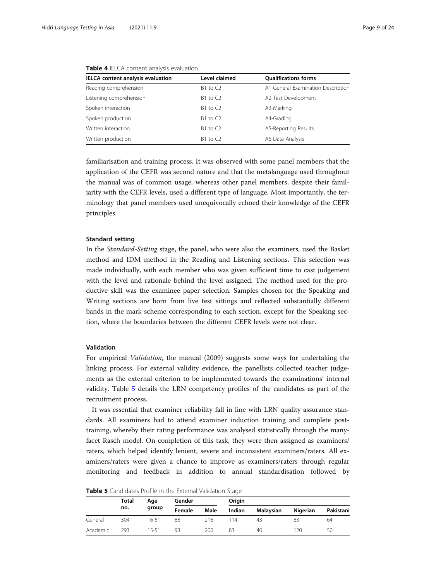| IELCA content analysis evaluation | Level claimed                    | <b>Qualifications forms</b>        |
|-----------------------------------|----------------------------------|------------------------------------|
| Reading comprehension             | B <sub>1</sub> to C <sub>2</sub> | A1-General Examination Description |
| Listening comprehension           | B1 to C2                         | A2-Test Development                |
| Spoken interaction                | B1 to C2                         | A3-Marking                         |
| Spoken production                 | B1 to C2                         | A4-Grading                         |
| Written interaction               | B1 to C2                         | A5-Reporting Results               |
| Written production                | $B1$ to $C2$                     | A6-Data Analysis                   |

#### <span id="page-8-0"></span>Table 4 IELCA content analysis evaluation

familiarisation and training process. It was observed with some panel members that the application of the CEFR was second nature and that the metalanguage used throughout the manual was of common usage, whereas other panel members, despite their familiarity with the CEFR levels, used a different type of language. Most importantly, the terminology that panel members used unequivocally echoed their knowledge of the CEFR principles.

#### Standard setting

In the Standard-Setting stage, the panel, who were also the examiners, used the Basket method and IDM method in the Reading and Listening sections. This selection was made individually, with each member who was given sufficient time to cast judgement with the level and rationale behind the level assigned. The method used for the productive skill was the examinee paper selection. Samples chosen for the Speaking and Writing sections are born from live test sittings and reflected substantially different bands in the mark scheme corresponding to each section, except for the Speaking section, where the boundaries between the different CEFR levels were not clear.

#### Validation

For empirical Validation, the manual (2009) suggests some ways for undertaking the linking process. For external validity evidence, the panellists collected teacher judgements as the external criterion to be implemented towards the examinations' internal validity. Table 5 details the LRN competency profiles of the candidates as part of the recruitment process.

It was essential that examiner reliability fall in line with LRN quality assurance standards. All examiners had to attend examiner induction training and complete posttraining, whereby their rating performance was analysed statistically through the manyfacet Rasch model. On completion of this task, they were then assigned as examiners/ raters, which helped identify lenient, severe and inconsistent examiners/raters. All examiners/raters were given a chance to improve as examiners/raters through regular monitoring and feedback in addition to annual standardisation followed by

| Table 5 Candidates Profile in the External Validation Stage |  |
|-------------------------------------------------------------|--|
|-------------------------------------------------------------|--|

|          | <b>Total</b> | Age       | Gender |      | Origin |           |          |           |
|----------|--------------|-----------|--------|------|--------|-----------|----------|-----------|
|          | no.          | group     | Female | Male | Indian | Malaysian | Nigerian | Pakistani |
| General  | 304          | 16-51     | 88     | 216  | 114    | 43        | 83       | 64        |
| Academic | 293          | $15 - 51$ | 93     | 200  | 83     | 40        | 20       | 50        |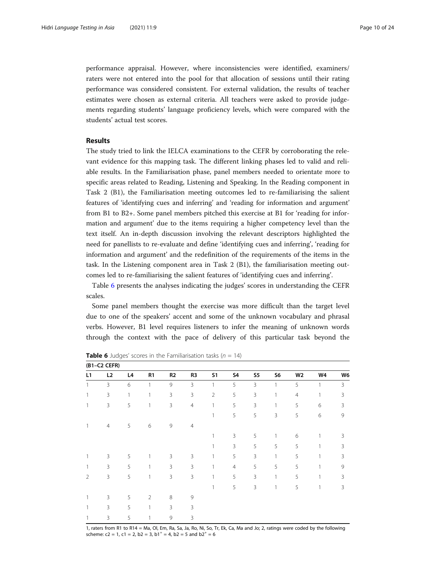performance appraisal. However, where inconsistencies were identified, examiners/ raters were not entered into the pool for that allocation of sessions until their rating performance was considered consistent. For external validation, the results of teacher estimates were chosen as external criteria. All teachers were asked to provide judgements regarding students' language proficiency levels, which were compared with the students' actual test scores.

#### Results

The study tried to link the IELCA examinations to the CEFR by corroborating the relevant evidence for this mapping task. The different linking phases led to valid and reliable results. In the Familiarisation phase, panel members needed to orientate more to specific areas related to Reading, Listening and Speaking. In the Reading component in Task 2 (B1), the Familiarisation meeting outcomes led to re-familiarising the salient features of 'identifying cues and inferring' and 'reading for information and argument' from B1 to B2+. Some panel members pitched this exercise at B1 for 'reading for information and argument' due to the items requiring a higher competency level than the text itself. An in-depth discussion involving the relevant descriptors highlighted the need for panellists to re-evaluate and define 'identifying cues and inferring', 'reading for information and argument' and the redefinition of the requirements of the items in the task. In the Listening component area in Task 2 (B1), the familiarisation meeting outcomes led to re-familiarising the salient features of 'identifying cues and inferring'.

Table 6 presents the analyses indicating the judges' scores in understanding the CEFR scales.

Some panel members thought the exercise was more difficult than the target level due to one of the speakers' accent and some of the unknown vocabulary and phrasal verbs. However, B1 level requires listeners to infer the meaning of unknown words through the context with the pace of delivery of this particular task beyond the

|                | (B1-C2 CEFR)   |    |                |    |                |                |                |    |    |                |    |                |
|----------------|----------------|----|----------------|----|----------------|----------------|----------------|----|----|----------------|----|----------------|
| L1             | L <sub>2</sub> | L4 | R <sub>1</sub> | R2 | R <sub>3</sub> | <b>S1</b>      | <b>S4</b>      | S5 | S6 | W <sub>2</sub> | W4 | W <sub>6</sub> |
| 1              | 3              | 6  | 1              | 9  | 3              | 1              | 5              | 3  | 1  | 5              | 1  | 3              |
| 1              | 3              | 1  | 1              | 3  | 3              | $\overline{2}$ | 5              | 3  | 1  | $\overline{4}$ | 1  | 3              |
| 1              | 3              | 5  | 1              | 3  | $\overline{4}$ | 1              | 5              | 3  | 1  | 5              | 6  | 3              |
|                |                |    |                |    |                | 1              | 5              | 5  | 3  | 5              | 6  | 9              |
| 1              | $\overline{4}$ | 5  | 6              | 9  | $\overline{4}$ |                |                |    |    |                |    |                |
|                |                |    |                |    |                | 1              | 3              | 5  |    | 6              | 1  | 3              |
|                |                |    |                |    |                | 1              | 3              | 5  | 5  | 5              |    | 3              |
| 1              | 3              | 5  | 1              | 3  | 3              | 1              | 5              | 3  | 1  | 5              | 1  | 3              |
| 1              | $\overline{3}$ | 5  | 1              | 3  | 3              | 1              | $\overline{4}$ | 5  | 5  | 5              | 1  | 9              |
| $\overline{2}$ | 3              | 5  | 1              | 3  | 3              | 1              | 5              | 3  | 1  | 5              | 1  | 3              |
|                |                |    |                |    |                | 1              | 5              | 3  | 1  | 5              | 1  | 3              |
|                | 3              | 5  | $\overline{2}$ | 8  | 9              |                |                |    |    |                |    |                |
| 1              | 3              | 5  | 1              | 3  | 3              |                |                |    |    |                |    |                |
| 1              | 3              | 5  | 1              | 9  | 3              |                |                |    |    |                |    |                |

**Table 6** Judges' scores in the Familiarisation tasks ( $n = 14$ )

1, raters from R1 to R14 = Ma, Ol, Em, Ra, Sa, Ja, Ro, Ni, So, Tr, Ek, Ca, Ma and Jo; 2, ratings were coded by the following scheme:  $c2 = 1$ ,  $c1 = 2$ ,  $b2 = 3$ ,  $b1^+ = 4$ ,  $b2 = 5$  and  $b2^+ = 6$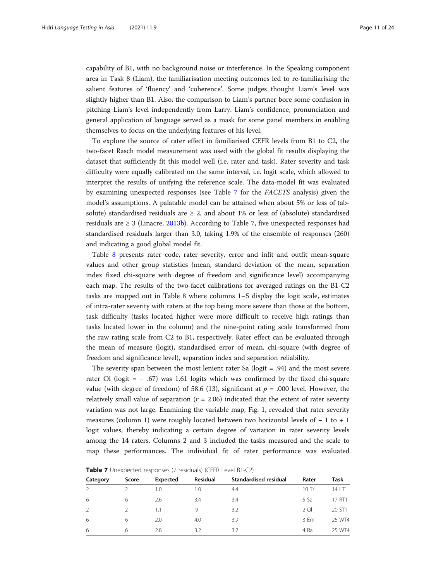capability of B1, with no background noise or interference. In the Speaking component area in Task 8 (Liam), the familiarisation meeting outcomes led to re-familiarising the salient features of 'fluency' and 'coherence'. Some judges thought Liam's level was slightly higher than B1. Also, the comparison to Liam's partner bore some confusion in pitching Liam's level independently from Larry. Liam's confidence, pronunciation and general application of language served as a mask for some panel members in enabling themselves to focus on the underlying features of his level.

To explore the source of rater effect in familiarised CEFR levels from B1 to C2, the two-facet Rasch model measurement was used with the global fit results displaying the dataset that sufficiently fit this model well (i.e. rater and task). Rater severity and task difficulty were equally calibrated on the same interval, i.e. logit scale, which allowed to interpret the results of unifying the reference scale. The data-model fit was evaluated by examining unexpected responses (see Table 7 for the FACETS analysis) given the model's assumptions. A palatable model can be attained when about 5% or less of (absolute) standardised residuals are  $\geq 2$ , and about 1% or less of (absolute) standardised residuals are  $\geq 3$  (Linacre, [2013b\)](#page-22-0). According to Table 7, five unexpected responses had standardised residuals larger than 3.0, taking 1.9% of the ensemble of responses (260) and indicating a good global model fit.

Table [8](#page-11-0) presents rater code, rater severity, error and infit and outfit mean-square values and other group statistics (mean, standard deviation of the mean, separation index fixed chi-square with degree of freedom and significance level) accompanying each map. The results of the two-facet calibrations for averaged ratings on the B1-C2 tasks are mapped out in Table [8](#page-11-0) where columns 1–5 display the logit scale, estimates of intra-rater severity with raters at the top being more severe than those at the bottom, task difficulty (tasks located higher were more difficult to receive high ratings than tasks located lower in the column) and the nine-point rating scale transformed from the raw rating scale from C2 to B1, respectively. Rater effect can be evaluated through the mean of measure (logit), standardised error of mean, chi-square (with degree of freedom and significance level), separation index and separation reliability.

The severity span between the most lenient rater Sa ( $logit = .94$ ) and the most severe rater Ol (logit =  $-$  .67) was 1.61 logits which was confirmed by the fixed chi-square value (with degree of freedom) of 58.6 (13), significant at  $p = .000$  level. However, the relatively small value of separation  $(r = 2.06)$  indicated that the extent of rater severity variation was not large. Examining the variable map, Fig. [1](#page-11-0), revealed that rater severity measures (column 1) were roughly located between two horizontal levels of − 1 to + 1 logit values, thereby indicating a certain degree of variation in rater severity levels among the 14 raters. Columns 2 and 3 included the tasks measured and the scale to map these performances. The individual fit of rater performance was evaluated

| Category | Score | Expected | Residual | Standardised residual | Rater  | Task   |
|----------|-------|----------|----------|-----------------------|--------|--------|
|          |       | 1.0      | 1.0      | 4.4                   | 10 Tri | 14 LT1 |
| 6        | 6     | 2.6      | 3.4      | 3.4                   | 5 Sa   | 17 RT1 |
|          |       |          | .9       | 3.2                   | $2$ OI | 20 ST1 |
| 6        | 6     | 2.0      | 4.0      | 3.9                   | 3 Em   | 25 WT4 |
| 6        | 6     | 2.8      | 3.2      | 3.2                   | 4 Ra   | 25 WT4 |

Table 7 Unexpected responses (7 residuals) (CEFR Level B1-C2)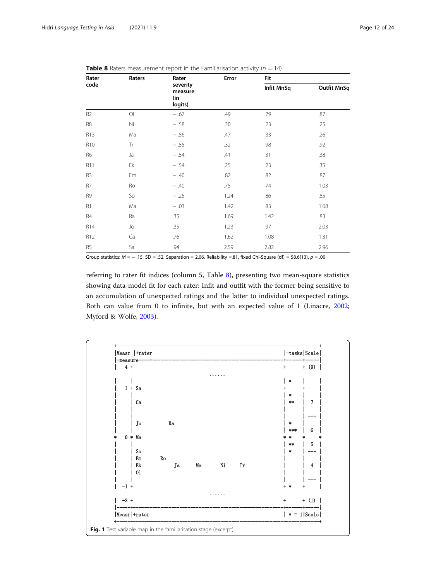| Rater           | Raters         | Rater                                 | Error | <b>Fit</b> |                    |
|-----------------|----------------|---------------------------------------|-------|------------|--------------------|
| code            |                | severity<br>measure<br>(in<br>logits) |       | Infit MnSq | <b>Outfit MnSq</b> |
| R <sub>2</sub>  | O <sub>l</sub> | $-.67$                                | .49   | .79        | .87                |
| R8              | Ni             | $-.58$                                | .30   | .23        | .25                |
| R13             | Ma             | $-.56$                                | .47   | .33        | .26                |
| R <sub>10</sub> | Tr             | $-.55$                                | .32   | .98        | .92                |
| R6              | Ja             | $-.54$                                | .41   | .31        | .38                |
| <b>R11</b>      | Ek             | $-.54$                                | .25   | .23        | .35                |
| R <sub>3</sub>  | Em             | $-.40$                                | .82   | .82        | .87                |
| R7              | Ro             | $-.40$                                | .75   | .74        | 1.03               |
| R9              | So             | $-.25$                                | 1.24  | .86        | .85                |
| R1              | Ma             | $-.03$                                | 1.42  | .83        | 1.68               |
| R4              | Ra             | .35                                   | 1.69  | 1.42       | .83                |
| <b>R14</b>      | Jo             | .35                                   | 1.23  | .97        | 2.03               |
| R12             | Ca             | .76                                   | 1.62  | 1.08       | 1.31               |
| R <sub>5</sub>  | Sa             | .94                                   | 2.59  | 2.82       | 2.96               |

<span id="page-11-0"></span>

|  |  |  | <b>Table 8</b> Raters measurement report in the Familiarisation activity ( $n = 14$ ) |  |  |  |  |  |
|--|--|--|---------------------------------------------------------------------------------------|--|--|--|--|--|
|--|--|--|---------------------------------------------------------------------------------------|--|--|--|--|--|

Group statistics:  $M = -.15$ , SD = .52, Separation = 2.06, Reliability =.81, fixed Chi-Square (df) = 58.6(13),  $p = .00$ 

referring to rater fit indices (column 5, Table 8), presenting two mean-square statistics showing data-model fit for each rater: Infit and outfit with the former being sensitive to an accumulation of unexpected ratings and the latter to individual unexpected ratings. Both can value from 0 to infinite, but with an expected value of 1 (Linacre, [2002](#page-22-0); Myford & Wolfe, [2003\)](#page-23-0).

| Measr  +rater |    |    |    |            | $ \text{-tasks} \text{Scale} $   |                |
|---------------|----|----|----|------------|----------------------------------|----------------|
| -measure-     |    |    |    |            |                                  |                |
| $4 +$         |    |    |    |            | $\ddot{}$                        | $+ (9)$        |
|               |    |    |    |            |                                  |                |
|               |    |    |    |            | $\ast$                           |                |
| $1 + Sa$      |    |    |    |            | $\ddot{}$                        | $\ddot{}$      |
|               |    |    |    |            | $\ast$                           |                |
| Ca            |    |    |    |            | $**$                             | 7              |
|               |    |    |    |            |                                  |                |
|               |    |    |    |            |                                  |                |
| Jo            | Ra |    |    |            | $\ast$                           |                |
| $\ast$        |    |    |    |            | $***$<br>$\ast$                  | 6              |
| $0 * Ma$      |    |    |    |            | *<br>$**$                        | 5              |
| So            |    |    |    |            | $\ast$                           |                |
| Em            | Ro |    |    |            |                                  |                |
| Ek            | Ja | Ma | Ni | ${\rm Tr}$ |                                  | $\overline{4}$ |
| 01            |    |    |    |            |                                  |                |
|               |    |    |    |            |                                  |                |
| $-1 +$        |    |    |    |            | $+ *$                            | $\ddot{}$      |
|               |    |    |    |            |                                  |                |
| $-3 +$        |    |    |    |            | $\begin{array}{c} + \end{array}$ | $+ (1)$        |
| Measr +rater  |    |    |    |            | $* = 1   Scale $                 |                |
|               |    |    |    |            |                                  |                |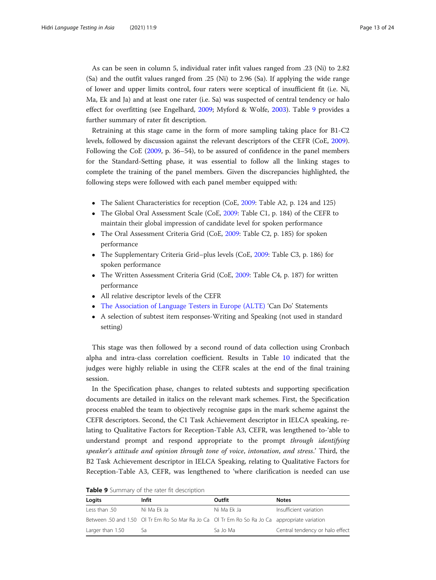As can be seen in column 5, individual rater infit values ranged from .23 (Ni) to 2.82 (Sa) and the outfit values ranged from .25 (Ni) to 2.96 (Sa). If applying the wide range of lower and upper limits control, four raters were sceptical of insufficient fit (i.e. Ni, Ma, Ek and Ja) and at least one rater (i.e. Sa) was suspected of central tendency or halo effect for overfitting (see Engelhard, [2009](#page-22-0); Myford & Wolfe, [2003](#page-23-0)). Table 9 provides a further summary of rater fit description.

Retraining at this stage came in the form of more sampling taking place for B1-C2 levels, followed by discussion against the relevant descriptors of the CEFR (CoE, [2009](#page-22-0)). Following the CoE ([2009](#page-22-0), p. 36–54), to be assured of confidence in the panel members for the Standard-Setting phase, it was essential to follow all the linking stages to complete the training of the panel members. Given the discrepancies highlighted, the following steps were followed with each panel member equipped with:

- The Salient Characteristics for reception (CoE, [2009:](#page-22-0) Table A2, p. 124 and 125)
- The Global Oral Assessment Scale (CoE, [2009:](#page-22-0) Table C1, p. 184) of the CEFR to maintain their global impression of candidate level for spoken performance
- The Oral Assessment Criteria Grid (CoE, [2009:](#page-22-0) Table C2, p. 185) for spoken performance
- The Supplementary Criteria Grid–plus levels (CoE, [2009:](#page-22-0) Table C3, p. 186) for spoken performance
- The Written Assessment Criteria Grid (CoE, [2009:](#page-22-0) Table C4, p. 187) for written performance
- All relative descriptor levels of the CEFR
- [The Association of Language Testers in Europe \(ALTE\)](#page-23-0) 'Can Do' Statements
- A selection of subtest item responses-Writing and Speaking (not used in standard setting)

This stage was then followed by a second round of data collection using Cronbach alpha and intra-class correlation coefficient. Results in Table [10](#page-13-0) indicated that the judges were highly reliable in using the CEFR scales at the end of the final training session.

In the Specification phase, changes to related subtests and supporting specification documents are detailed in italics on the relevant mark schemes. First, the Specification process enabled the team to objectively recognise gaps in the mark scheme against the CEFR descriptors. Second, the C1 Task Achievement descriptor in IELCA speaking, relating to Qualitative Factors for Reception-Table A3, CEFR, was lengthened to-'able to understand prompt and respond appropriate to the prompt through identifying speaker's attitude and opinion through tone of voice, intonation, and stress.' Third, the B2 Task Achievement descriptor in IELCA Speaking, relating to Qualitative Factors for Reception-Table A3, CEFR, was lengthened to 'where clarification is needed can use

|  | Table 9 Summary of the rater fit description |  |  |
|--|----------------------------------------------|--|--|
|--|----------------------------------------------|--|--|

| Logits           | Infit                                                                                          | Outfit      | <b>Notes</b>                    |
|------------------|------------------------------------------------------------------------------------------------|-------------|---------------------------------|
| Less than .50    | Ni Ma Fk Ja                                                                                    | Ni Ma Fk Ja | Insufficient variation          |
|                  | Between .50 and 1.50 OI Tr Em Ro So Mar Ra Jo Ca OI Tr Em Ro So Ra Jo Ca appropriate variation |             |                                 |
| Larger than 1.50 | Sa                                                                                             | Sa Jo Ma    | Central tendency or halo effect |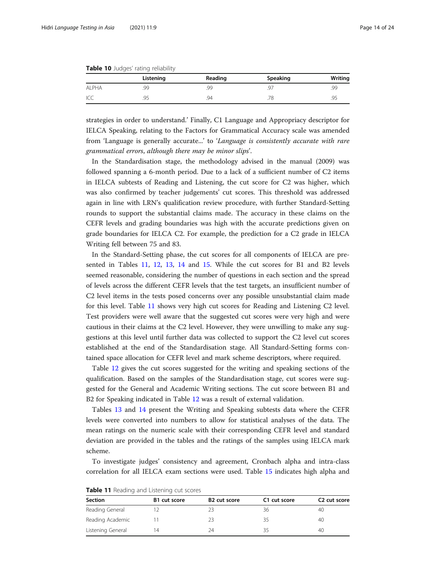|              | Listening | Reading | Speaking | Writing |
|--------------|-----------|---------|----------|---------|
| <b>ALPHA</b> | .99       | .99     | Q<br>    | .99     |
| ICC          | QЬ        | 94      | .78      | .95     |

<span id="page-13-0"></span>

|  |  |  |  | Table 10 Judges' rating reliability |
|--|--|--|--|-------------------------------------|
|--|--|--|--|-------------------------------------|

strategies in order to understand.' Finally, C1 Language and Appropriacy descriptor for IELCA Speaking, relating to the Factors for Grammatical Accuracy scale was amended from 'Language is generally accurate...' to 'Language is consistently accurate with rare grammatical errors, although there may be minor slips'.

In the Standardisation stage, the methodology advised in the manual (2009) was followed spanning a 6-month period. Due to a lack of a sufficient number of C2 items in IELCA subtests of Reading and Listening, the cut score for C2 was higher, which was also confirmed by teacher judgements' cut scores. This threshold was addressed again in line with LRN's qualification review procedure, with further Standard-Setting rounds to support the substantial claims made. The accuracy in these claims on the CEFR levels and grading boundaries was high with the accurate predictions given on grade boundaries for IELCA C2. For example, the prediction for a C2 grade in IELCA Writing fell between 75 and 83.

In the Standard-Setting phase, the cut scores for all components of IELCA are presented in Tables 11, [12](#page-14-0), [13](#page-14-0), [14](#page-15-0) and [15](#page-15-0). While the cut scores for B1 and B2 levels seemed reasonable, considering the number of questions in each section and the spread of levels across the different CEFR levels that the test targets, an insufficient number of C2 level items in the tests posed concerns over any possible unsubstantial claim made for this level. Table 11 shows very high cut scores for Reading and Listening C2 level. Test providers were well aware that the suggested cut scores were very high and were cautious in their claims at the C2 level. However, they were unwilling to make any suggestions at this level until further data was collected to support the C2 level cut scores established at the end of the Standardisation stage. All Standard-Setting forms contained space allocation for CEFR level and mark scheme descriptors, where required.

Table [12](#page-14-0) gives the cut scores suggested for the writing and speaking sections of the qualification. Based on the samples of the Standardisation stage, cut scores were suggested for the General and Academic Writing sections. The cut score between B1 and B2 for Speaking indicated in Table [12](#page-14-0) was a result of external validation.

Tables [13](#page-14-0) and [14](#page-15-0) present the Writing and Speaking subtests data where the CEFR levels were converted into numbers to allow for statistical analyses of the data. The mean ratings on the numeric scale with their corresponding CEFR level and standard deviation are provided in the tables and the ratings of the samples using IELCA mark scheme.

To investigate judges' consistency and agreement, Cronbach alpha and intra-class correlation for all IELCA exam sections were used. Table [15](#page-15-0) indicates high alpha and

| <b>Section</b>    | B1 cut score | B <sub>2</sub> cut score | C1 cut score | C <sub>2</sub> cut score |
|-------------------|--------------|--------------------------|--------------|--------------------------|
| Reading General   |              |                          | 36           | 40                       |
| Reading Academic  |              | フ3                       | 35           | 40                       |
| Listening General | 14           | 24                       |              | 40                       |

Table 11 Reading and Listening cut scores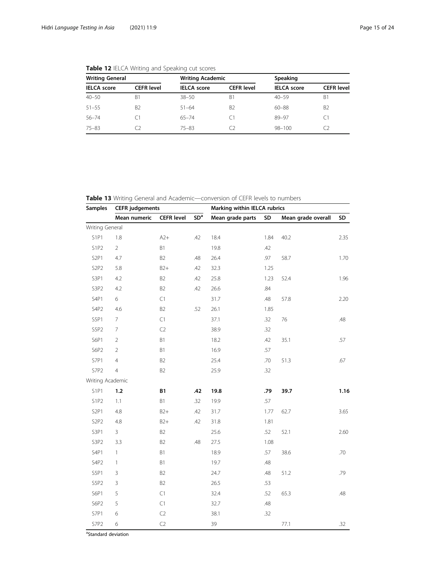|                        | <b>TODIC TELLUATION ON SPLANING CULPLOTED</b> |                         |                   |                    |                   |  |  |  |
|------------------------|-----------------------------------------------|-------------------------|-------------------|--------------------|-------------------|--|--|--|
| <b>Writing General</b> |                                               | <b>Writing Academic</b> |                   | Speaking           |                   |  |  |  |
| <b>IELCA</b> score     | <b>CEFR level</b>                             | <b>IELCA</b> score      | <b>CEFR</b> level | <b>IELCA</b> score | <b>CEFR level</b> |  |  |  |
| $40 - 50$              | Β1                                            | $38 - 50$               | B1                | $40 - 59$          | B1                |  |  |  |
| $51 - 55$              | B <sub>2</sub>                                | $51 - 64$               | B <sub>2</sub>    | $60 - 88$          | B <sub>2</sub>    |  |  |  |
| $56 - 74$              |                                               | $65 - 74$               | C1                | 89-97              | С1                |  |  |  |
| $75 - 83$              |                                               | $75 - 83$               |                   | $98 - 100$         | C)                |  |  |  |

<span id="page-14-0"></span>Table 12 IELCA Writing and Speaking cut scores

Table 13 Writing General and Academic—conversion of CEFR levels to numbers

| <b>Samples</b>                | <b>CEFR</b> judgements |                   |                 | Marking within IELCA rubrics |      |                    |      |  |  |
|-------------------------------|------------------------|-------------------|-----------------|------------------------------|------|--------------------|------|--|--|
|                               | Mean numeric           | <b>CEFR level</b> | SD <sup>a</sup> | Mean grade parts             | SD   | Mean grade overall | SD   |  |  |
| Writing General               |                        |                   |                 |                              |      |                    |      |  |  |
| S1P1                          | 1.8                    | $A2+$             | .42             | 18.4                         | 1.84 | 40.2               | 2.35 |  |  |
| S1P2                          | $\overline{2}$         | B1                |                 | 19.8                         | .42  |                    |      |  |  |
| S <sub>2P1</sub>              | 4.7                    | B <sub>2</sub>    | .48             | 26.4                         | .97  | 58.7               | 1.70 |  |  |
| S <sub>2</sub> P <sub>2</sub> | 5.8                    | $B2+$             | .42             | 32.3                         | 1.25 |                    |      |  |  |
| S3P1                          | 4.2                    | B <sub>2</sub>    | .42             | 25.8                         | 1.23 | 52.4               | 1.96 |  |  |
| S3P2                          | 4.2                    | B <sub>2</sub>    | .42             | 26.6                         | .84  |                    |      |  |  |
| S4P1                          | 6                      | C1                |                 | 31.7                         | .48  | 57.8               | 2.20 |  |  |
| S4P2                          | 4.6                    | B <sub>2</sub>    | .52             | 26.1                         | 1.85 |                    |      |  |  |
| S5P1                          | $\overline{7}$         | C1                |                 | 37.1                         | .32  | 76                 | .48  |  |  |
| S5P2                          | 7                      | C2                |                 | 38.9                         | .32  |                    |      |  |  |
| S6P1                          | $\overline{2}$         | B1                |                 | 18.2                         | .42  | 35.1               | .57  |  |  |
| S6P2                          | $\overline{2}$         | B1                |                 | 16.9                         | .57  |                    |      |  |  |
| S7P1                          | $\overline{4}$         | B <sub>2</sub>    |                 | 25.4                         | .70  | 51.3               | .67  |  |  |
| S7P2                          | $\overline{4}$         | B <sub>2</sub>    |                 | 25.9                         | .32  |                    |      |  |  |
| Writing Academic              |                        |                   |                 |                              |      |                    |      |  |  |
| S1P1                          | $1.2$                  | <b>B1</b>         | .42             | 19.8                         | .79  | 39.7               | 1.16 |  |  |
| S1P2                          | 1.1                    | B1                | .32             | 19.9                         | .57  |                    |      |  |  |
| S <sub>2P1</sub>              | 4.8                    | $B2+$             | .42             | 31.7                         | 1.77 | 62.7               | 3.65 |  |  |
| S <sub>2</sub> P <sub>2</sub> | 4.8                    | $B2+$             | .42             | 31.8                         | 1.81 |                    |      |  |  |
| S3P1                          | 3                      | B <sub>2</sub>    |                 | 25.6                         | .52  | 52.1               | 2.60 |  |  |
| S3P2                          | 3.3                    | B <sub>2</sub>    | .48             | 27.5                         | 1.08 |                    |      |  |  |
| S4P1                          | $\mathbf{1}$           | B1                |                 | 18.9                         | .57  | 38.6               | .70  |  |  |
| S4P2                          | 1                      | B1                |                 | 19.7                         | .48  |                    |      |  |  |
| S5P1                          | 3                      | B <sub>2</sub>    |                 | 24.7                         | .48  | 51.2               | .79  |  |  |
| S5P2                          | 3                      | B <sub>2</sub>    |                 | 26.5                         | .53  |                    |      |  |  |
| S6P1                          | 5                      | $\mathsf{C}1$     |                 | 32.4                         | .52  | 65.3               | .48  |  |  |
| S6P2                          | 5                      | C1                |                 | 32.7                         | .48  |                    |      |  |  |
| S7P1                          | 6                      | C <sub>2</sub>    |                 | 38.1                         | .32  |                    |      |  |  |
| S7P2                          | 6                      | C2                |                 | 39                           |      | 77.1               | .32  |  |  |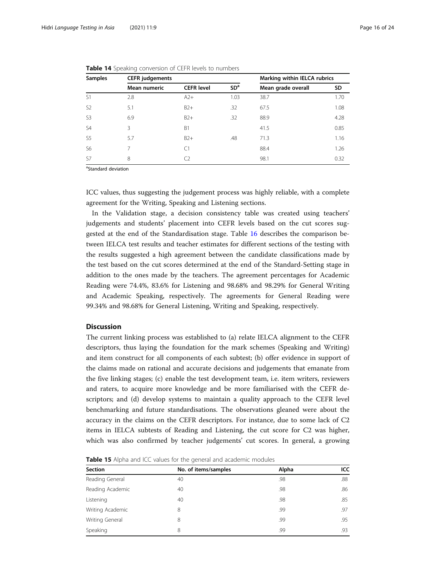| <b>Samples</b> | <b>CEFR</b> judgements |                   | Marking within IELCA rubrics |                    |      |  |
|----------------|------------------------|-------------------|------------------------------|--------------------|------|--|
|                | Mean numeric           | <b>CEFR level</b> | SD <sup>a</sup>              | Mean grade overall | SD   |  |
| S1             | 2.8                    | $A2+$             | 1.03                         | 38.7               | 1.70 |  |
| S <sub>2</sub> | 5.1                    | $B2+$             | .32                          | 67.5               | 1.08 |  |
| S3             | 6.9                    | $B2+$             | .32                          | 88.9               | 4.28 |  |
| S4             | 3                      | B <sub>1</sub>    |                              | 41.5               | 0.85 |  |
| S <sub>5</sub> | 5.7                    | $B2+$             | .48                          | 71.3               | 1.16 |  |
| S6             | 7                      | C <sub>1</sub>    |                              | 88.4               | 1.26 |  |
| S7             | 8                      | C <sub>2</sub>    |                              | 98.1               | 0.32 |  |

<span id="page-15-0"></span>

|  |  |  | Table 14 Speaking conversion of CEFR levels to numbers |  |  |  |  |  |
|--|--|--|--------------------------------------------------------|--|--|--|--|--|
|--|--|--|--------------------------------------------------------|--|--|--|--|--|

<sup>a</sup>Standard deviation

ICC values, thus suggesting the judgement process was highly reliable, with a complete agreement for the Writing, Speaking and Listening sections.

In the Validation stage, a decision consistency table was created using teachers' judgements and students' placement into CEFR levels based on the cut scores suggested at the end of the Standardisation stage. Table [16](#page-16-0) describes the comparison between IELCA test results and teacher estimates for different sections of the testing with the results suggested a high agreement between the candidate classifications made by the test based on the cut scores determined at the end of the Standard-Setting stage in addition to the ones made by the teachers. The agreement percentages for Academic Reading were 74.4%, 83.6% for Listening and 98.68% and 98.29% for General Writing and Academic Speaking, respectively. The agreements for General Reading were 99.34% and 98.68% for General Listening, Writing and Speaking, respectively.

#### **Discussion**

The current linking process was established to (a) relate IELCA alignment to the CEFR descriptors, thus laying the foundation for the mark schemes (Speaking and Writing) and item construct for all components of each subtest; (b) offer evidence in support of the claims made on rational and accurate decisions and judgements that emanate from the five linking stages; (c) enable the test development team, i.e. item writers, reviewers and raters, to acquire more knowledge and be more familiarised with the CEFR descriptors; and (d) develop systems to maintain a quality approach to the CEFR level benchmarking and future standardisations. The observations gleaned were about the accuracy in the claims on the CEFR descriptors. For instance, due to some lack of C2 items in IELCA subtests of Reading and Listening, the cut score for C2 was higher, which was also confirmed by teacher judgements' cut scores. In general, a growing

| <b>Table 15</b> Alpha and ICC values for the general and academic modules |  |  |
|---------------------------------------------------------------------------|--|--|
|---------------------------------------------------------------------------|--|--|

| <b>Section</b>   | No. of items/samples | Alpha | ICC |
|------------------|----------------------|-------|-----|
|                  |                      |       |     |
| Reading General  | 40                   | .98   | .88 |
| Reading Academic | 40                   | .98   | .86 |
| Listening        | 40                   | .98   | .85 |
| Writing Academic | 8                    | .99   | .97 |
| Writing General  | 8                    | .99   | .95 |
| Speaking         | 8                    | .99   | .93 |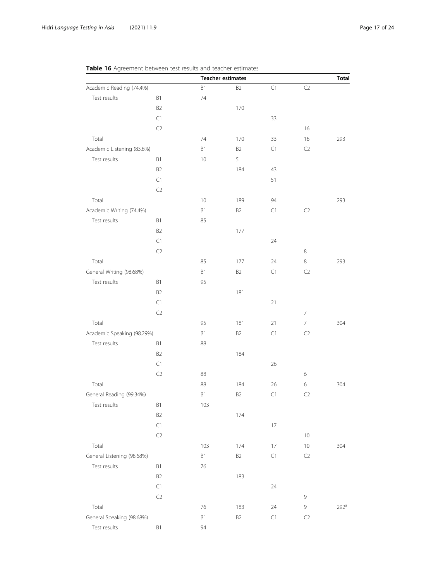## <span id="page-16-0"></span>Table 16 Agreement between test results and teacher estimates

|                            |                |                | <b>Teacher estimates</b> |               |                | Total            |
|----------------------------|----------------|----------------|--------------------------|---------------|----------------|------------------|
| Academic Reading (74.4%)   |                | B1             | B <sub>2</sub>           | C1            | C <sub>2</sub> |                  |
| Test results               | <b>B1</b>      | 74             |                          |               |                |                  |
|                            | B <sub>2</sub> |                | 170                      |               |                |                  |
|                            | C1             |                |                          | 33            |                |                  |
|                            | C <sub>2</sub> |                |                          |               | 16             |                  |
| Total                      |                | 74             | 170                      | 33            | 16             | 293              |
| Academic Listening (83.6%) |                | B1             | B <sub>2</sub>           | C1            | C <sub>2</sub> |                  |
| Test results               | <b>B1</b>      | 10             | 5                        |               |                |                  |
|                            | B <sub>2</sub> |                | 184                      | 43            |                |                  |
|                            | C1             |                |                          | 51            |                |                  |
|                            | C <sub>2</sub> |                |                          |               |                |                  |
| Total                      |                | 10             | 189                      | 94            |                | 293              |
| Academic Writing (74.4%)   |                | <b>B1</b>      | B <sub>2</sub>           | C1            | C <sub>2</sub> |                  |
| Test results               | B1             | 85             |                          |               |                |                  |
|                            | B <sub>2</sub> |                | 177                      |               |                |                  |
|                            | C1             |                |                          | 24            |                |                  |
|                            | C <sub>2</sub> |                |                          |               | $\,8\,$        |                  |
| Total                      |                | 85             | 177                      | 24            | $\,8\,$        | 293              |
| General Writing (98.68%)   |                | <b>B1</b>      | B <sub>2</sub>           | C1            | C <sub>2</sub> |                  |
| Test results               | <b>B1</b>      | 95             |                          |               |                |                  |
|                            | B <sub>2</sub> |                | 181                      |               |                |                  |
|                            | C1             |                |                          | 21            |                |                  |
|                            | C <sub>2</sub> |                |                          |               | 7              |                  |
| Total                      |                | 95             | 181                      | 21            | 7              | 304              |
| Academic Speaking (98.29%) |                | <b>B1</b>      | B <sub>2</sub>           | C1            | C <sub>2</sub> |                  |
| Test results               | B1             | 88             |                          |               |                |                  |
|                            | B <sub>2</sub> |                | 184                      |               |                |                  |
|                            | C1             |                |                          | 26            |                |                  |
|                            | C <sub>2</sub> | 88             |                          |               | $\,$ 6 $\,$    |                  |
| Total                      |                | 88             | 184                      | 26            | $\,$ 6 $\,$    | 304              |
| General Reading (99.34%)   |                | B <sub>1</sub> | B <sub>2</sub>           | C1            | C <sub>2</sub> |                  |
| Test results               | <b>B1</b>      | 103            |                          |               |                |                  |
|                            | B <sub>2</sub> |                | 174                      |               |                |                  |
|                            | C1             |                |                          | 17            |                |                  |
|                            | C <sub>2</sub> |                |                          |               | 10             |                  |
| Total                      |                | 103            | 174                      | 17            | 10             | 304              |
| General Listening (98.68%) |                | B1             | B <sub>2</sub>           | $\mathsf{C}1$ | C <sub>2</sub> |                  |
| Test results               | B1             | 76             |                          |               |                |                  |
|                            | B <sub>2</sub> |                | 183                      |               |                |                  |
|                            | C1             |                |                          | 24            |                |                  |
|                            | C <sub>2</sub> |                |                          |               | 9              |                  |
| Total                      |                | 76             | 183                      | 24            | 9              | 292 <sup>a</sup> |
| General Speaking (98.68%)  |                | B <sub>1</sub> | B <sub>2</sub>           | C1            | C <sub>2</sub> |                  |
| Test results               | B1             | 94             |                          |               |                |                  |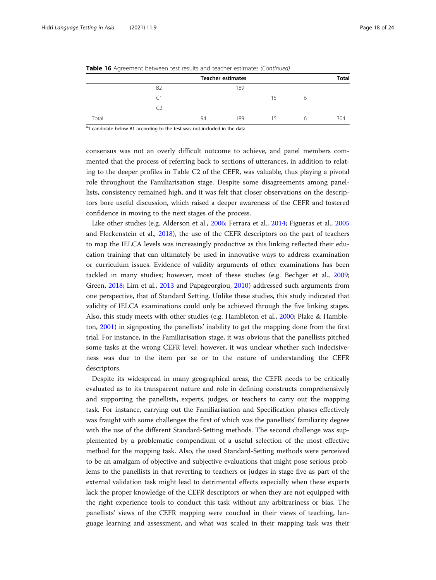|       | <b>Teacher estimates</b> |    |     |    |  | <b>Total</b> |
|-------|--------------------------|----|-----|----|--|--------------|
|       | B <sub>2</sub>           |    | 189 |    |  |              |
|       | С1                       |    |     | 15 |  |              |
|       | C٦                       |    |     |    |  |              |
| Total |                          | 94 | 189 | 15 |  | 304          |

Table 16 Agreement between test results and teacher estimates (Continued)

<sup>a</sup>1 candidate below B1 according to the test was not included in the data

consensus was not an overly difficult outcome to achieve, and panel members commented that the process of referring back to sections of utterances, in addition to relating to the deeper profiles in Table C2 of the CEFR, was valuable, thus playing a pivotal role throughout the Familiarisation stage. Despite some disagreements among panellists, consistency remained high, and it was felt that closer observations on the descriptors bore useful discussion, which raised a deeper awareness of the CEFR and fostered confidence in moving to the next stages of the process.

Like other studies (e.g. Alderson et al., [2006;](#page-22-0) Ferrara et al., [2014](#page-22-0); Figueras et al., [2005](#page-22-0) and Fleckenstein et al., [2018\)](#page-22-0), the use of the CEFR descriptors on the part of teachers to map the IELCA levels was increasingly productive as this linking reflected their education training that can ultimately be used in innovative ways to address examination or curriculum issues. Evidence of validity arguments of other examinations has been tackled in many studies; however, most of these studies (e.g. Bechger et al., [2009](#page-22-0); Green, [2018;](#page-22-0) Lim et al., [2013](#page-22-0) and Papageorgiou, [2010\)](#page-23-0) addressed such arguments from one perspective, that of Standard Setting. Unlike these studies, this study indicated that validity of IELCA examinations could only be achieved through the five linking stages. Also, this study meets with other studies (e.g. Hambleton et al., [2000](#page-22-0); Plake & Hambleton, [2001](#page-23-0)) in signposting the panellists' inability to get the mapping done from the first trial. For instance, in the Familiarisation stage, it was obvious that the panellists pitched some tasks at the wrong CEFR level; however, it was unclear whether such indecisiveness was due to the item per se or to the nature of understanding the CEFR descriptors.

Despite its widespread in many geographical areas, the CEFR needs to be critically evaluated as to its transparent nature and role in defining constructs comprehensively and supporting the panellists, experts, judges, or teachers to carry out the mapping task. For instance, carrying out the Familiarisation and Specification phases effectively was fraught with some challenges the first of which was the panellists' familiarity degree with the use of the different Standard-Setting methods. The second challenge was supplemented by a problematic compendium of a useful selection of the most effective method for the mapping task. Also, the used Standard-Setting methods were perceived to be an amalgam of objective and subjective evaluations that might pose serious problems to the panellists in that reverting to teachers or judges in stage five as part of the external validation task might lead to detrimental effects especially when these experts lack the proper knowledge of the CEFR descriptors or when they are not equipped with the right experience tools to conduct this task without any arbitrariness or bias. The panellists' views of the CEFR mapping were couched in their views of teaching, language learning and assessment, and what was scaled in their mapping task was their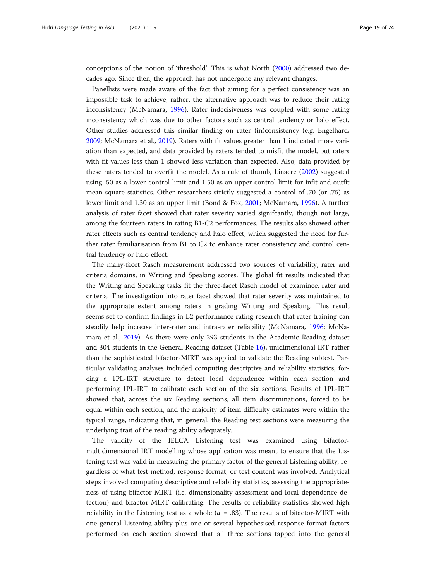conceptions of the notion of 'threshold'. This is what North [\(2000](#page-23-0)) addressed two decades ago. Since then, the approach has not undergone any relevant changes.

Panellists were made aware of the fact that aiming for a perfect consistency was an impossible task to achieve; rather, the alternative approach was to reduce their rating inconsistency (McNamara, [1996](#page-23-0)). Rater indecisiveness was coupled with some rating inconsistency which was due to other factors such as central tendency or halo effect. Other studies addressed this similar finding on rater (in)consistency (e.g. Engelhard, [2009](#page-22-0); McNamara et al., [2019](#page-23-0)). Raters with fit values greater than 1 indicated more variation than expected, and data provided by raters tended to misfit the model, but raters with fit values less than 1 showed less variation than expected. Also, data provided by these raters tended to overfit the model. As a rule of thumb, Linacre ([2002](#page-22-0)) suggested using .50 as a lower control limit and 1.50 as an upper control limit for infit and outfit mean-square statistics. Other researchers strictly suggested a control of .70 (or .75) as lower limit and 1.30 as an upper limit (Bond & Fox, [2001;](#page-22-0) McNamara, [1996\)](#page-23-0). A further analysis of rater facet showed that rater severity varied signifcantly, though not large, among the fourteen raters in rating B1-C2 performances. The results also showed other rater effects such as central tendency and halo effect, which suggested the need for further rater familiarisation from B1 to C2 to enhance rater consistency and control central tendency or halo effect.

The many-facet Rasch measurement addressed two sources of variability, rater and criteria domains, in Writing and Speaking scores. The global fit results indicated that the Writing and Speaking tasks fit the three-facet Rasch model of examinee, rater and criteria. The investigation into rater facet showed that rater severity was maintained to the appropriate extent among raters in grading Writing and Speaking. This result seems set to confirm findings in L2 performance rating research that rater training can steadily help increase inter-rater and intra-rater reliability (McNamara, [1996](#page-23-0); McNamara et al., [2019\)](#page-23-0). As there were only 293 students in the Academic Reading dataset and 304 students in the General Reading dataset (Table [16\)](#page-16-0), unidimensional IRT rather than the sophisticated bifactor-MIRT was applied to validate the Reading subtest. Particular validating analyses included computing descriptive and reliability statistics, forcing a 1PL-IRT structure to detect local dependence within each section and performing 1PL-IRT to calibrate each section of the six sections. Results of 1PL-IRT showed that, across the six Reading sections, all item discriminations, forced to be equal within each section, and the majority of item difficulty estimates were within the typical range, indicating that, in general, the Reading test sections were measuring the underlying trait of the reading ability adequately.

The validity of the IELCA Listening test was examined using bifactormultidimensional IRT modelling whose application was meant to ensure that the Listening test was valid in measuring the primary factor of the general Listening ability, regardless of what test method, response format, or test content was involved. Analytical steps involved computing descriptive and reliability statistics, assessing the appropriateness of using bifactor-MIRT (i.e. dimensionality assessment and local dependence detection) and bifactor-MIRT calibrating. The results of reliability statistics showed high reliability in the Listening test as a whole ( $\alpha$  = .83). The results of bifactor-MIRT with one general Listening ability plus one or several hypothesised response format factors performed on each section showed that all three sections tapped into the general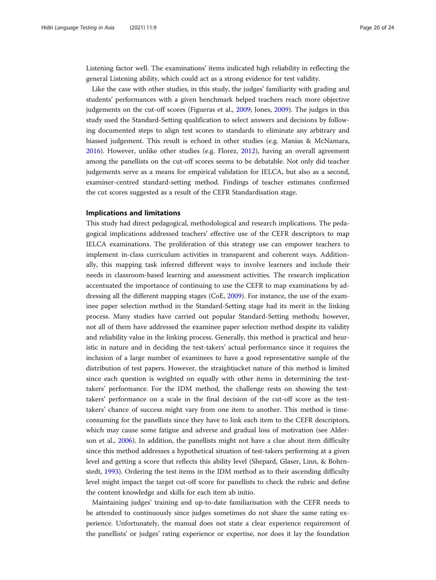Listening factor well. The examinations' items indicated high reliability in reflecting the general Listening ability, which could act as a strong evidence for test validity.

Like the case with other studies, in this study, the judges' familiarity with grading and students' performances with a given benchmark helped teachers reach more objective judgements on the cut-off scores (Figueras et al., [2009](#page-22-0); Jones, [2009](#page-22-0)). The judges in this study used the Standard-Setting qualification to select answers and decisions by following documented steps to align test scores to standards to eliminate any arbitrary and biassed judgement. This result is echoed in other studies (e.g. Manias & McNamara, [2016](#page-23-0)). However, unlike other studies (e.g. Florez, [2012](#page-22-0)), having an overall agreement among the panellists on the cut-off scores seems to be debatable. Not only did teacher judgements serve as a means for empirical validation for IELCA, but also as a second, examiner-centred standard-setting method. Findings of teacher estimates confirmed the cut scores suggested as a result of the CEFR Standardisation stage.

#### Implications and limitations

This study had direct pedagogical, methodological and research implications. The pedagogical implications addressed teachers' effective use of the CEFR descriptors to map IELCA examinations. The proliferation of this strategy use can empower teachers to implement in-class curriculum activities in transparent and coherent ways. Additionally, this mapping task inferred different ways to involve learners and include their needs in classroom-based learning and assessment activities. The research implication accentuated the importance of continuing to use the CEFR to map examinations by addressing all the different mapping stages (CoE, [2009](#page-22-0)). For instance, the use of the examinee paper selection method in the Standard-Setting stage had its merit in the linking process. Many studies have carried out popular Standard-Setting methods; however, not all of them have addressed the examinee paper selection method despite its validity and reliability value in the linking process. Generally, this method is practical and heuristic in nature and in deciding the test-takers' actual performance since it requires the inclusion of a large number of examinees to have a good representative sample of the distribution of test papers. However, the straightjacket nature of this method is limited since each question is weighted on equally with other items in determining the testtakers' performance. For the IDM method, the challenge rests on showing the testtakers' performance on a scale in the final decision of the cut-off score as the testtakers' chance of success might vary from one item to another. This method is timeconsuming for the panellists since they have to link each item to the CEFR descriptors, which may cause some fatigue and adverse and gradual loss of motivation (see Alderson et al., [2006\)](#page-22-0). In addition, the panellists might not have a clue about item difficulty since this method addresses a hypothetical situation of test-takers performing at a given level and getting a score that reflects this ability level (Shepard, Glaser, Linn, & Bohrnstedt, [1993](#page-23-0)). Ordering the test items in the IDM method as to their ascending difficulty level might impact the target cut-off score for panellists to check the rubric and define the content knowledge and skills for each item ab initio.

Maintaining judges' training and up-to-date familiarisation with the CEFR needs to be attended to continuously since judges sometimes do not share the same rating experience. Unfortunately, the manual does not state a clear experience requirement of the panellists' or judges' rating experience or expertise, nor does it lay the foundation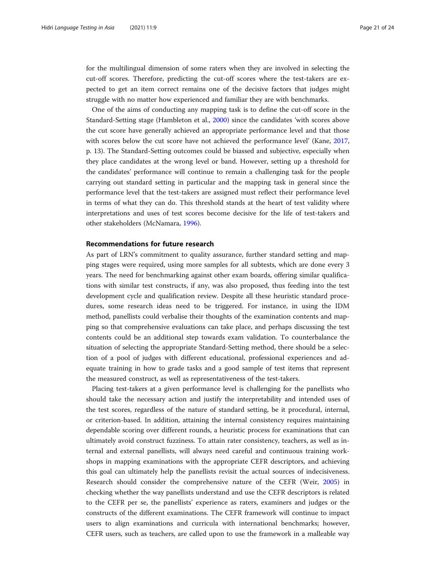for the multilingual dimension of some raters when they are involved in selecting the cut-off scores. Therefore, predicting the cut-off scores where the test-takers are expected to get an item correct remains one of the decisive factors that judges might struggle with no matter how experienced and familiar they are with benchmarks.

One of the aims of conducting any mapping task is to define the cut-off score in the Standard-Setting stage (Hambleton et al., [2000](#page-22-0)) since the candidates 'with scores above the cut score have generally achieved an appropriate performance level and that those with scores below the cut score have not achieved the performance level' (Kane, [2017](#page-22-0), p. 13). The Standard-Setting outcomes could be biassed and subjective, especially when they place candidates at the wrong level or band. However, setting up a threshold for the candidates' performance will continue to remain a challenging task for the people carrying out standard setting in particular and the mapping task in general since the performance level that the test-takers are assigned must reflect their performance level in terms of what they can do. This threshold stands at the heart of test validity where interpretations and uses of test scores become decisive for the life of test-takers and other stakeholders (McNamara, [1996\)](#page-23-0).

### Recommendations for future research

As part of LRN's commitment to quality assurance, further standard setting and mapping stages were required, using more samples for all subtests, which are done every 3 years. The need for benchmarking against other exam boards, offering similar qualifications with similar test constructs, if any, was also proposed, thus feeding into the test development cycle and qualification review. Despite all these heuristic standard procedures, some research ideas need to be triggered. For instance, in using the IDM method, panellists could verbalise their thoughts of the examination contents and mapping so that comprehensive evaluations can take place, and perhaps discussing the test contents could be an additional step towards exam validation. To counterbalance the situation of selecting the appropriate Standard-Setting method, there should be a selection of a pool of judges with different educational, professional experiences and adequate training in how to grade tasks and a good sample of test items that represent the measured construct, as well as representativeness of the test-takers.

Placing test-takers at a given performance level is challenging for the panellists who should take the necessary action and justify the interpretability and intended uses of the test scores, regardless of the nature of standard setting, be it procedural, internal, or criterion-based. In addition, attaining the internal consistency requires maintaining dependable scoring over different rounds, a heuristic process for examinations that can ultimately avoid construct fuzziness. To attain rater consistency, teachers, as well as internal and external panellists, will always need careful and continuous training workshops in mapping examinations with the appropriate CEFR descriptors, and achieving this goal can ultimately help the panellists revisit the actual sources of indecisiveness. Research should consider the comprehensive nature of the CEFR (Weir, [2005\)](#page-23-0) in checking whether the way panellists understand and use the CEFR descriptors is related to the CEFR per se, the panellists' experience as raters, examiners and judges or the constructs of the different examinations. The CEFR framework will continue to impact users to align examinations and curricula with international benchmarks; however, CEFR users, such as teachers, are called upon to use the framework in a malleable way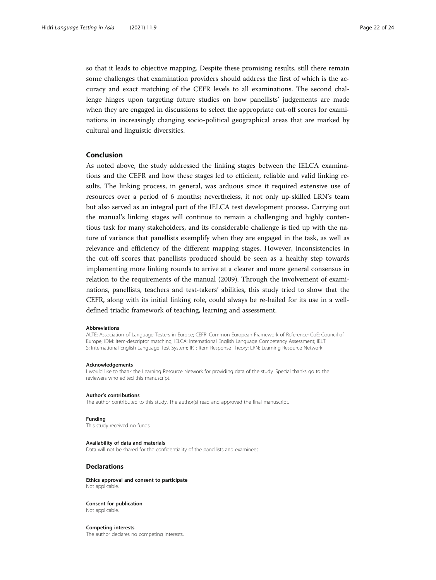so that it leads to objective mapping. Despite these promising results, still there remain some challenges that examination providers should address the first of which is the accuracy and exact matching of the CEFR levels to all examinations. The second challenge hinges upon targeting future studies on how panellists' judgements are made when they are engaged in discussions to select the appropriate cut-off scores for examinations in increasingly changing socio-political geographical areas that are marked by cultural and linguistic diversities.

### Conclusion

As noted above, the study addressed the linking stages between the IELCA examinations and the CEFR and how these stages led to efficient, reliable and valid linking results. The linking process, in general, was arduous since it required extensive use of resources over a period of 6 months; nevertheless, it not only up-skilled LRN's team but also served as an integral part of the IELCA test development process. Carrying out the manual's linking stages will continue to remain a challenging and highly contentious task for many stakeholders, and its considerable challenge is tied up with the nature of variance that panellists exemplify when they are engaged in the task, as well as relevance and efficiency of the different mapping stages. However, inconsistencies in the cut-off scores that panellists produced should be seen as a healthy step towards implementing more linking rounds to arrive at a clearer and more general consensus in relation to the requirements of the manual (2009). Through the involvement of examinations, panellists, teachers and test-takers' abilities, this study tried to show that the CEFR, along with its initial linking role, could always be re-hailed for its use in a welldefined triadic framework of teaching, learning and assessment.

#### **Abbreviations**

ALTE: Association of Language Testers in Europe; CEFR: Common European Framework of Reference; CoE: Council of Europe; IDM: Item-descriptor matching; IELCA: International English Language Competency Assessment; IELT S: International English Language Test System; IRT: Item Response Theory; LRN: Learning Resource Network

#### Acknowledgements

I would like to thank the Learning Resource Network for providing data of the study. Special thanks go to the reviewers who edited this manuscript.

#### Author's contributions

The author contributed to this study. The author(s) read and approved the final manuscript.

#### Funding

This study received no funds.

#### Availability of data and materials

Data will not be shared for the confidentiality of the panellists and examinees.

#### Declarations

Ethics approval and consent to participate Not applicable.

#### Consent for publication

Not applicable.

#### Competing interests

The author declares no competing interests.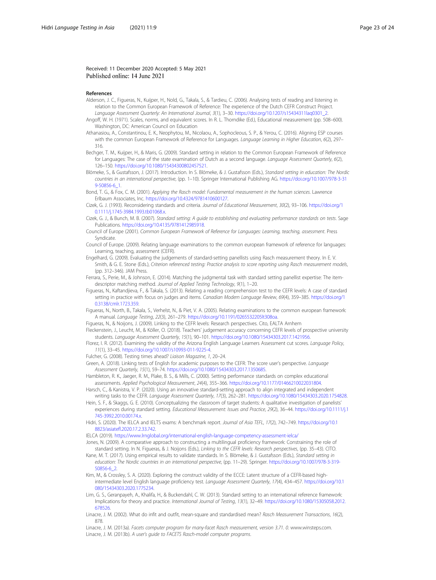#### <span id="page-22-0"></span>Received: 11 December 2020 Accepted: 5 May 2021 Published online: 14 June 2021

#### References

- Alderson, J. C., Figueras, N., Kuijper, H., Nold, G., Takala, S., & Tardieu, C. (2006). Analysing tests of reading and listening in relation to the Common European Framework of Reference: The experience of the Dutch CEFR Construct Project. Language Assessment Quarterly: An International Journal, 3(1), 3–30. [https://doi.org/10.1207/s15434311laq0301\\_2.](https://doi.org/10.1207/s15434311laq0301_2)
- Angoff, W. H. (1971). Scales, norms, and equivalent scores. In R. L. Thorndike (Ed.), Educational measurement (pp. 508–600). Washington, DC: American Council on Education
- Athanasiou, A., Constantinou, E. K., Neophytou, M., Nicolaou, A., Sophocleous, S. P., & Yerou, C. (2016). Aligning ESP courses with the common European Framework of Reference for Languages. Language Learning in Higher Education, 6(2), 297– 316.
- Bechger, T. M., Kuijper, H., & Maris, G. (2009). Standard setting in relation to the Common European Framework of Reference for Languages: The case of the state examination of Dutch as a second language. Language Assessment Quarterly, 6(2), 126–150. <https://doi.org/10.1080/15434300802457521>.
- Blömeke, S., & Gustafsson, J. (2017). Introduction. In S. Blömeke, & J. Gustafsson (Eds.), Standard setting in education: The Nordic countries in an international perspective, (pp. 1–10). Springer International Publishing AG. [https://doi.org/10.1007/978-3-31](https://doi.org/10.1007/978-3-319-50856-6_1) [9-50856-6\\_1.](https://doi.org/10.1007/978-3-319-50856-6_1)
- Bond, T. G., & Fox, C. M. (2001). Applying the Rasch model: Fundamental measurement in the human sciences. Lawrence Erlbaum Associates, Inc. [https://doi.org/10.4324/9781410600127.](https://doi.org/10.4324/9781410600127)
- Cizek, G. J. (1993). Reconsidering standards and criteria. Journal of Educational Measurement, 30(2), 93–106. [https://doi.org/1](https://doi.org/10.1111/j.1745-3984.1993.tb01068.x) 0.1111/j.1745-3984.1993.tb01068.x
- Cizek, G. J., & Bunch, M. B. (2007). Standard setting: A guide to establishing and evaluating performance standards on tests. Sage Publications. [https://doi.org/10.4135/9781412985918.](https://doi.org/10.4135/9781412985918)
- Council of Europe (2001). Common European Framework of Reference for Languages: Learning, teaching, assessment. Press Syndicate.
- Council of Europe. (2009). Relating language examinations to the common european framework of reference for languages: Learning, teaching, assessment (CEFR).
- Engelhard, G. (2009). Evaluating the judgements of standard-setting panellists using Rasch measurement theory. In E. V. Smith, & G. E. Stone (Eds.), Criterion referenced testing: Practice analysis to score reporting using Rasch measurement models, (pp. 312–346). JAM Press.
- Ferrara, S., Perie, M., & Johnson, E. (2014). Matching the judgmental task with standard setting panellist expertise: The itemdescriptor matching method. Journal of Applied Testing Technology, 9(1), 1–20.
- Figueras, N., Kaftandjieva, F., & Takala, S. (2013). Relating a reading comprehension test to the CEFR levels: A case of standard setting in practice with focus on judges and items. Canadian Modern Language Review, 69(4), 359-385. [https://doi.org/1](https://doi.org/10.3138/cmlr.1723.359) [0.3138/cmlr.1723.359](https://doi.org/10.3138/cmlr.1723.359).
- Figueras, N., North, B., Takala, S., Verhelst, N., & Piet, V. A. (2005). Relating examinations to the common european framework: A manual. Language Testing, 22(3), 261–279. [https://doi.org/10.1191/0265532205lt308oa.](https://doi.org/10.1191/0265532205lt308oa)
- Figueras, N., & Noijons, J. (2009). Linking to the CEFR levels: Research perspectives. Cito, EALTA Arnhem
- Fleckenstein, J., Leucht, M., & Köller, O. (2018). Teachers' judgement accuracy concerning CEFR levels of prospective university students. Language Assessment Quarterly, 15(1), 90–101. <https://doi.org/10.1080/15434303.2017.1421956>.
- Florez, I. R. (2012). Examining the validity of the Arizona English Language Learners Assessment cut scores. Language Policy, 11(1), 33–45. [https://doi.org/10.1007/s10993-011-9225-4.](https://doi.org/10.1007/s10993-011-9225-4)
- Fulcher, G. (2008). Testing times ahead? Liaison Magazine, 1, 20–24.
- Green, A. (2018). Linking tests of English for academic purposes to the CEFR: The score user's perspective. Language Assessment Quarterly, 15(1), 59–74. [https://doi.org/10.1080/15434303.2017.1350685.](https://doi.org/10.1080/15434303.2017.1350685)
- Hambleton, R. K., Jaeger, R. M., Plake, B. S., & Mills, C. (2000). Setting performance standards on complex educational assessments. Applied Psychological Measurement, 24(4), 355–366. [https://doi.org/10.1177/01466210022031804.](https://doi.org/10.1177/01466210022031804)
- Harsch, C., & Kanistra, V. P. (2020). Using an innovative standard-setting approach to align integrated and independent writing tasks to the CEFR. Language Assessment Quarterly, 17(3), 262–281. [https://doi.org/10.1080/15434303.2020.1754828.](https://doi.org/10.1080/15434303.2020.1754828)
- Hein, S. F., & Skaggs, G. E. (2010). Conceptualizing the classroom of target students: A qualitative investigation of panelists' experiences during standard setting. Educational Measurement: Issues and Practice, 29(2), 36–44. [https://doi.org/10.1111/j.1](https://doi.org/10.1111/j.1745-3992.2010.00174.x) [745-3992.2010.00174.x.](https://doi.org/10.1111/j.1745-3992.2010.00174.x)
- Hidri, S. (2020). The IELCA and IELTS exams: A benchmark report. Journal of Asia TEFL, 17(2), 742–749. [https://doi.org/10.1](https://doi.org/10.18823/asiatefl.2020.17.2.33.742) [8823/asiatefl.2020.17.2.33.742.](https://doi.org/10.18823/asiatefl.2020.17.2.33.742)
- IELCA (2019). <https://www.lrnglobal.org/international-english-language-competency-assessment-ielca/>
- Jones, N. (2009). A comparative approach to constructing a multilingual proficiency framework: Constraining the role of standard setting. In N. Figueras, & J. Noijons (Eds.), Linking to the CEFR levels: Research perspectives, (pp. 35–43). CITO.
- Kane, M. T. (2017). Using empirical results to validate standards. In S. Blömeke, & J. Gustafsson (Eds.), Standard setting in education: The Nordic countries in an international perspective, (pp. 11–29). Springer. [https://doi.org/10.1007/978-3-319-](https://doi.org/10.1007/978-3-319-50856-6_2) [50856-6\\_2](https://doi.org/10.1007/978-3-319-50856-6_2).
- Kim, M., & Crossley, S. A. (2020). Exploring the construct validity of the ECCE: Latent structure of a CEFR-based highintermediate level English language proficiency test. Language Assessment Quarterly, 17(4), 434–457. [https://doi.org/10.1](https://doi.org/10.1080/15434303.2020.1775234) [080/15434303.2020.1775234.](https://doi.org/10.1080/15434303.2020.1775234)
- Lim, G. S., Geranpayeh, A., Khalifa, H., & Buckendahl, C. W. (2013). Standard setting to an international reference framework: Implications for theory and practice. International Journal of Testing, 13(1), 32–49. [https://doi.org/10.1080/15305058.2012.](https://doi.org/10.1080/15305058.2012.678526) [678526](https://doi.org/10.1080/15305058.2012.678526).
- Linacre, J. M. (2002). What do infit and outfit, mean-square and standardised mean? Rasch Measurement Transactions, 16(2), 878.
- Linacre, J. M. (2013a). Facets computer program for many-facet Rasch measurement, version 3.71. 0. www.winsteps.com. Linacre, J. M. (2013b). A user's guide to FACETS Rasch-model computer programs.